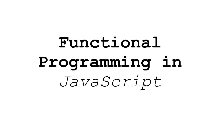# **Functional Programming in**  *JavaScript*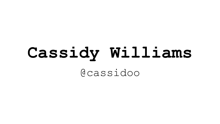# **Cassidy Williams** @cassidoo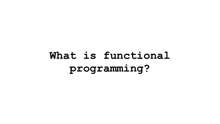### **What is functional programming?**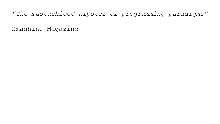### *"The mustachioed hipster of programming paradigms"*

Smashing Magazine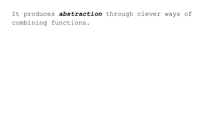It produces *abstraction* through clever ways of combining functions.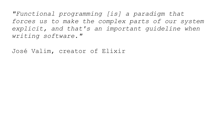*"Functional programming [is] a paradigm that forces us to make the complex parts of our system explicit, and that's an important guideline when writing software."*

José Valim, creator of Elixir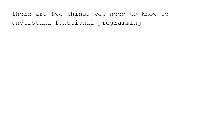There are two things you need to know to understand functional programming.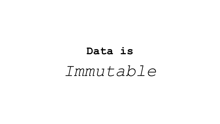# **Data is** *Immutable*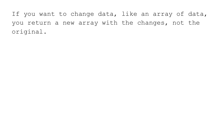If you want to change data, like an array of data, you return a new array with the changes, not the original.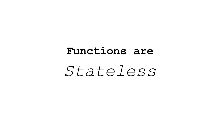# **Functions are** *Stateless*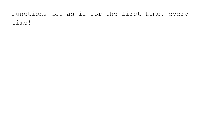### Functions act as if for the first time, every time!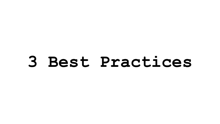**3 Best Practices**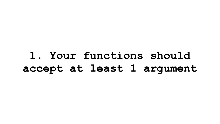**1. Your functions should accept at least 1 argument**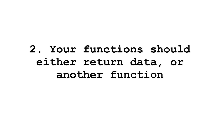### **2. Your functions should either return data, or another function**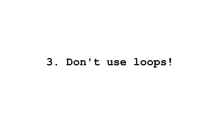### **3. Don't use loops!**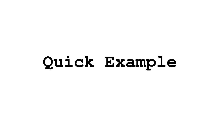# **Quick Example**

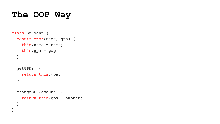### **The OOP Way**

```
class Student {
   constructor(name, gpa) {
     this.name = name;
     this.gpa = gap;
   }
   getGPA() {
     return this.gpa;
   }
   changeGPA(amount) {
     return this.gpa + amount;
 }
}
```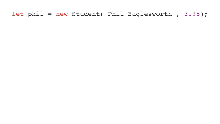### let phil = new Student('Phil Eaglesworth', 3.95);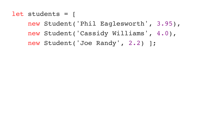let students = [

new Student('Phil Eaglesworth', 3.95),

new Student('Cassidy Williams', 4.0),

new Student('Joe Randy', 2.2) ];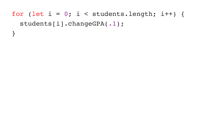### for (let  $i = 0$ ; i < students.length; i++) { students[i].changeGPA(.1);  $\big\}$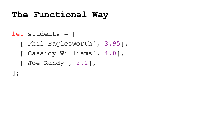### **The Functional Way**

let students = [ ['Phil Eaglesworth', 3.95], ['Cassidy Williams', 4.0], ['Joe Randy', 2.2], ];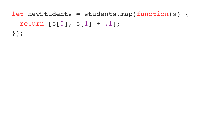let newStudents = students.map(function(s) { return [s[0], s[1] + .1]; });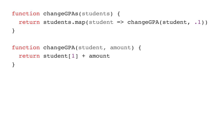function changeGPAs(students) { return students.map(student => changeGPA(student, .1)) }<br>}

function changeGPA(student, amount) { return student[1] + amount }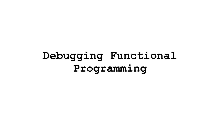### **Debugging Functional Programming**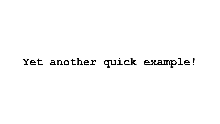### **Yet another quick example!**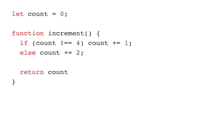let count = 0;

### function increment() { if (count  $!=$  4) count  $+= 1;$ else count += 2;

return count

}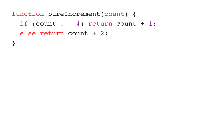function pureIncrement(count) { if (count  $!=$  4) return count + 1; else return count + 2;

}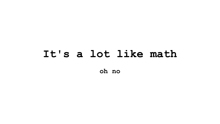## It's a lot like math oh no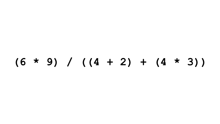## $(6 * 9) / ((4 + 2) + (4 * 3))$

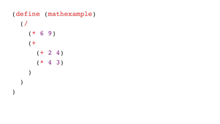(define (mathexample)  $($  /  $(* 6 9)$  $($  +  $(+ 2 4)$  $(* 4 3)$  $\sum_{i=1}^{n}$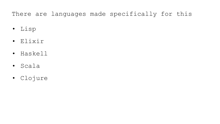### There are languages made specifically for this

- Lisp
- Elixir
- Haskell
- Scala
- Clojure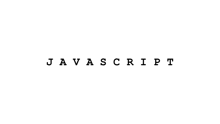### **J A V A S C R I P T**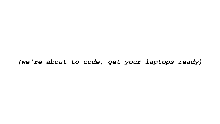### *(we're about to code, get your laptops ready)*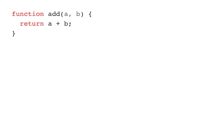function add(a, b) { return a + b; }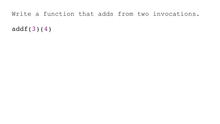### Write a function that adds from two invocations.

addf(3)(4)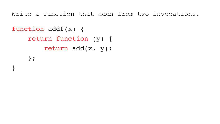Write a function that adds from two invocations.

```
function addf(x) {
     return function (y) {
         return add(x, y);
     };
}
```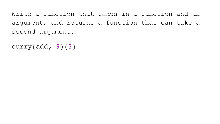Write a function that takes in a function and an argument, and returns a function that can take a second argument.

```
curry(add, 9)(3)
```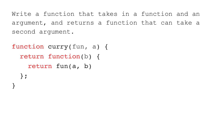Write a function that takes in a function and an argument, and returns a function that can take a second argument.

function curry(fun, a) { return function(b) { return fun(a, b) };

}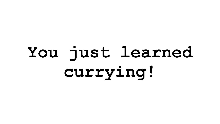# **You just learned currying!**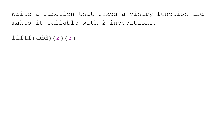Write a function that takes a binary function and makes it callable with 2 invocations.

 $lift(f(add)(2)(3))$ 

- 
- 
- 
- 
- 
- 
- 
- 
-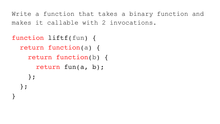Write a function that takes a binary function and makes it callable with 2 invocations.

function liftf(fun) { return function(a) { return function(b) { return fun(a, b);  $\}$  ;  $\}$  ;

- 
- 
- 
- 
- 
- 
- 
- 
-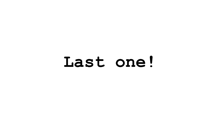# Last one!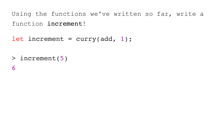Using the functions we've written so far, write a function increment!

let increment = curry(add, 1);

- > increment(5)
- 6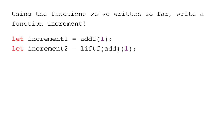Using the functions we've written so far, write a function increment!

let increment $1 = addf(1)$ ;

let increment2 =  $lift(add)(1);$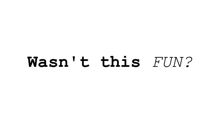# **Wasn't this** *FUN?*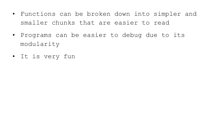- Functions can be broken down into simpler and smaller chunks that are easier to read
- Programs can be easier to debug due to its modularity
- It is very fun